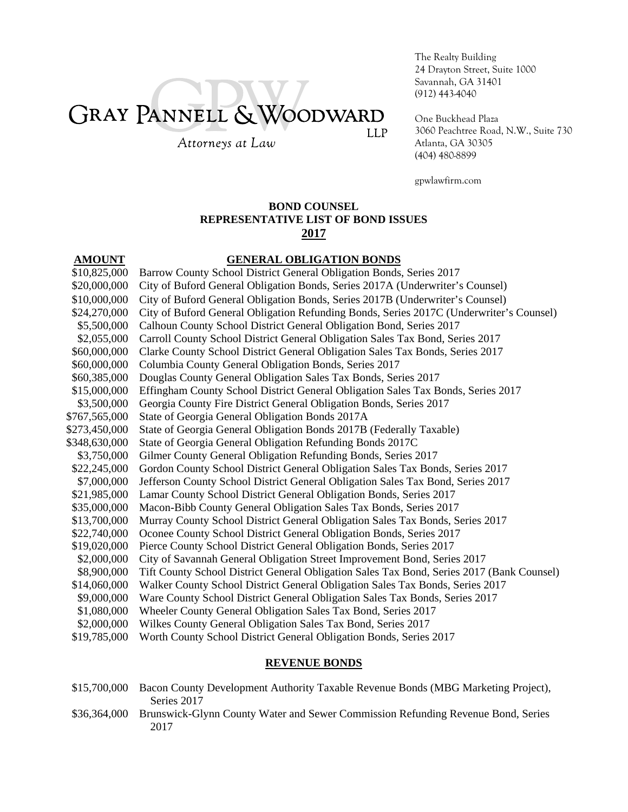# GRAY PANNELL & WOODWARD **LLP**

Attorneys at Law

The Realty Building 24 Drayton Street, Suite 1000 Savannah, GA 31401 (912) 443-4040

One Buckhead Plaza 3060 Peachtree Road, N.W., Suite 730 Atlanta, GA 30305 (404) 480-8899

gpwlawfirm.com

#### **BOND COUNSEL**

# **REPRESENTATIVE LIST OF BOND ISSUES**

# **2017**

# **AMOUNT GENERAL OBLIGATION BONDS**

| \$10,825,000  | Barrow County School District General Obligation Bonds, Series 2017                       |
|---------------|-------------------------------------------------------------------------------------------|
| \$20,000,000  | City of Buford General Obligation Bonds, Series 2017A (Underwriter's Counsel)             |
| \$10,000,000  | City of Buford General Obligation Bonds, Series 2017B (Underwriter's Counsel)             |
| \$24,270,000  | City of Buford General Obligation Refunding Bonds, Series 2017C (Underwriter's Counsel)   |
| \$5,500,000   | Calhoun County School District General Obligation Bond, Series 2017                       |
| \$2,055,000   | Carroll County School District General Obligation Sales Tax Bond, Series 2017             |
| \$60,000,000  | Clarke County School District General Obligation Sales Tax Bonds, Series 2017             |
| \$60,000,000  | Columbia County General Obligation Bonds, Series 2017                                     |
| \$60,385,000  | Douglas County General Obligation Sales Tax Bonds, Series 2017                            |
| \$15,000,000  | Effingham County School District General Obligation Sales Tax Bonds, Series 2017          |
| \$3,500,000   | Georgia County Fire District General Obligation Bonds, Series 2017                        |
| \$767,565,000 | State of Georgia General Obligation Bonds 2017A                                           |
| \$273,450,000 | State of Georgia General Obligation Bonds 2017B (Federally Taxable)                       |
| \$348,630,000 | State of Georgia General Obligation Refunding Bonds 2017C                                 |
| \$3,750,000   | Gilmer County General Obligation Refunding Bonds, Series 2017                             |
| \$22,245,000  | Gordon County School District General Obligation Sales Tax Bonds, Series 2017             |
| \$7,000,000   | Jefferson County School District General Obligation Sales Tax Bond, Series 2017           |
| \$21,985,000  | Lamar County School District General Obligation Bonds, Series 2017                        |
| \$35,000,000  | Macon-Bibb County General Obligation Sales Tax Bonds, Series 2017                         |
| \$13,700,000  | Murray County School District General Obligation Sales Tax Bonds, Series 2017             |
| \$22,740,000  | Oconee County School District General Obligation Bonds, Series 2017                       |
| \$19,020,000  | Pierce County School District General Obligation Bonds, Series 2017                       |
| \$2,000,000   | City of Savannah General Obligation Street Improvement Bond, Series 2017                  |
| \$8,900,000   | Tift County School District General Obligation Sales Tax Bond, Series 2017 (Bank Counsel) |
| \$14,060,000  | Walker County School District General Obligation Sales Tax Bonds, Series 2017             |
| \$9,000,000   | Ware County School District General Obligation Sales Tax Bonds, Series 2017               |
| \$1,080,000   | Wheeler County General Obligation Sales Tax Bond, Series 2017                             |
| \$2,000,000   | Wilkes County General Obligation Sales Tax Bond, Series 2017                              |
| \$19,785,000  | Worth County School District General Obligation Bonds, Series 2017                        |

### **REVENUE BONDS**

- \$15,700,000 Bacon County Development Authority Taxable Revenue Bonds (MBG Marketing Project), Series 2017
- \$36,364,000 Brunswick-Glynn County Water and Sewer Commission Refunding Revenue Bond, Series 2017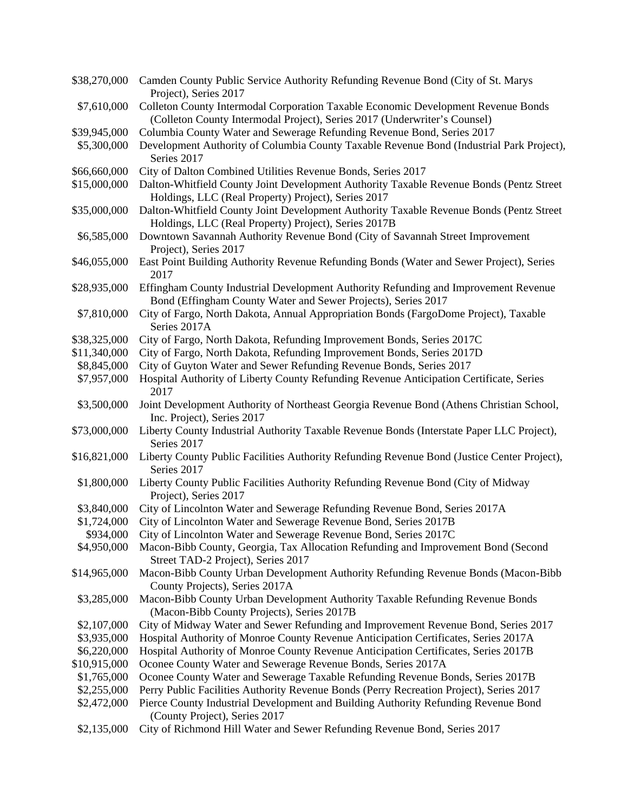| \$38,270,000 | Camden County Public Service Authority Refunding Revenue Bond (City of St. Marys)<br>Project), Series 2017                                                     |
|--------------|----------------------------------------------------------------------------------------------------------------------------------------------------------------|
| \$7,610,000  | Colleton County Intermodal Corporation Taxable Economic Development Revenue Bonds<br>(Colleton County Intermodal Project), Series 2017 (Underwriter's Counsel) |
| \$39,945,000 |                                                                                                                                                                |
|              | Columbia County Water and Sewerage Refunding Revenue Bond, Series 2017                                                                                         |
| \$5,300,000  | Development Authority of Columbia County Taxable Revenue Bond (Industrial Park Project),<br>Series 2017                                                        |
| \$66,660,000 | City of Dalton Combined Utilities Revenue Bonds, Series 2017                                                                                                   |
| \$15,000,000 | Dalton-Whitfield County Joint Development Authority Taxable Revenue Bonds (Pentz Street<br>Holdings, LLC (Real Property) Project), Series 2017                 |
| \$35,000,000 | Dalton-Whitfield County Joint Development Authority Taxable Revenue Bonds (Pentz Street<br>Holdings, LLC (Real Property) Project), Series 2017B                |
| \$6,585,000  | Downtown Savannah Authority Revenue Bond (City of Savannah Street Improvement                                                                                  |
|              | Project), Series 2017                                                                                                                                          |
| \$46,055,000 | East Point Building Authority Revenue Refunding Bonds (Water and Sewer Project), Series<br>2017                                                                |
| \$28,935,000 | Effingham County Industrial Development Authority Refunding and Improvement Revenue<br>Bond (Effingham County Water and Sewer Projects), Series 2017           |
| \$7,810,000  | City of Fargo, North Dakota, Annual Appropriation Bonds (FargoDome Project), Taxable<br>Series 2017A                                                           |
| \$38,325,000 | City of Fargo, North Dakota, Refunding Improvement Bonds, Series 2017C                                                                                         |
| \$11,340,000 | City of Fargo, North Dakota, Refunding Improvement Bonds, Series 2017D                                                                                         |
| \$8,845,000  | City of Guyton Water and Sewer Refunding Revenue Bonds, Series 2017                                                                                            |
| \$7,957,000  | Hospital Authority of Liberty County Refunding Revenue Anticipation Certificate, Series                                                                        |
|              | 2017                                                                                                                                                           |
| \$3,500,000  | Joint Development Authority of Northeast Georgia Revenue Bond (Athens Christian School,<br>Inc. Project), Series 2017                                          |
| \$73,000,000 | Liberty County Industrial Authority Taxable Revenue Bonds (Interstate Paper LLC Project),<br>Series 2017                                                       |
| \$16,821,000 | Liberty County Public Facilities Authority Refunding Revenue Bond (Justice Center Project),<br>Series 2017                                                     |
| \$1,800,000  | Liberty County Public Facilities Authority Refunding Revenue Bond (City of Midway<br>Project), Series 2017                                                     |
| \$3,840,000  | City of Lincolnton Water and Sewerage Refunding Revenue Bond, Series 2017A                                                                                     |
| \$1,724,000  | City of Lincolnton Water and Sewerage Revenue Bond, Series 2017B                                                                                               |
| \$934,000    | City of Lincolnton Water and Sewerage Revenue Bond, Series 2017C                                                                                               |
| \$4,950,000  | Macon-Bibb County, Georgia, Tax Allocation Refunding and Improvement Bond (Second<br>Street TAD-2 Project), Series 2017                                        |
| \$14,965,000 | Macon-Bibb County Urban Development Authority Refunding Revenue Bonds (Macon-Bibb<br>County Projects), Series 2017A                                            |
| \$3,285,000  | Macon-Bibb County Urban Development Authority Taxable Refunding Revenue Bonds<br>(Macon-Bibb County Projects), Series 2017B                                    |
| \$2,107,000  | City of Midway Water and Sewer Refunding and Improvement Revenue Bond, Series 2017                                                                             |
| \$3,935,000  | Hospital Authority of Monroe County Revenue Anticipation Certificates, Series 2017A                                                                            |
|              |                                                                                                                                                                |
| \$6,220,000  | Hospital Authority of Monroe County Revenue Anticipation Certificates, Series 2017B                                                                            |
| \$10,915,000 | Oconee County Water and Sewerage Revenue Bonds, Series 2017A                                                                                                   |
| \$1,765,000  | Oconee County Water and Sewerage Taxable Refunding Revenue Bonds, Series 2017B                                                                                 |
| \$2,255,000  | Perry Public Facilities Authority Revenue Bonds (Perry Recreation Project), Series 2017                                                                        |
| \$2,472,000  | Pierce County Industrial Development and Building Authority Refunding Revenue Bond<br>(County Project), Series 2017                                            |
| \$2,135,000  | City of Richmond Hill Water and Sewer Refunding Revenue Bond, Series 2017                                                                                      |